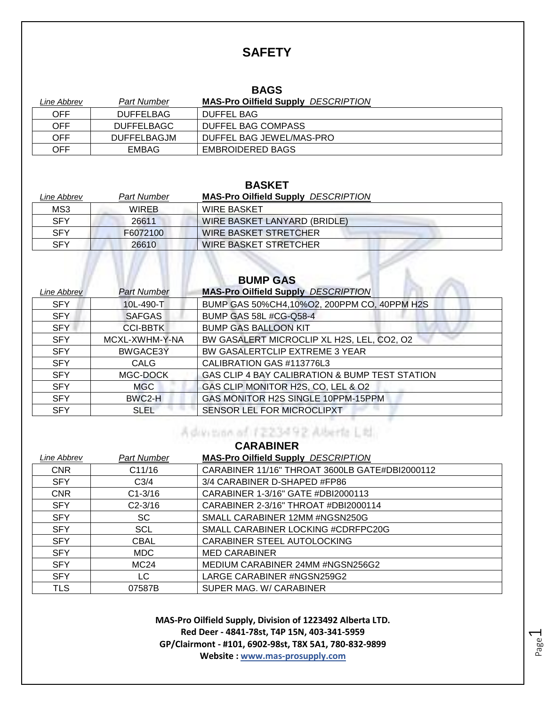### **SAFETY**

#### **BAGS**

| Line Abbrev | <b>Part Number</b> | <b>MAS-Pro Oilfield Supply DESCRIPTION</b> |
|-------------|--------------------|--------------------------------------------|
| OFF         | <b>DUFFELBAG</b>   | DUFFEL BAG                                 |
| OFF         | <b>DUFFELBAGC</b>  | DUFFEL BAG COMPASS                         |
| OFF         | <b>DUFFELBAGJM</b> | DUFFEL BAG JEWEL/MAS-PRO                   |
| OFF         | <b>EMBAG</b>       | <b>EMBROIDERED BAGS</b>                    |

#### **BASKET**

| Line Abbrev | <b>Part Number</b> | <b>MAS-Pro Oilfield Supply DESCRIPTION</b> |
|-------------|--------------------|--------------------------------------------|
| MS3         | <b>WIREB</b>       | <b>WIRE BASKET</b>                         |
| <b>SFY</b>  | 26611              | WIRE BASKET LANYARD (BRIDLE)               |
| <b>SFY</b>  | F6072100           | <b>WIRE BASKET STRETCHER</b>               |
| <b>SFY</b>  | 26610              | <b>WIRE BASKET STRETCHER</b>               |
|             |                    |                                            |
|             |                    |                                            |
|             |                    | <b>DUMD CAC</b>                            |

| DUNIF GAS   |                    |                                                |
|-------------|--------------------|------------------------------------------------|
| Line Abbrev | <b>Part Number</b> | <b>MAS-Pro Oilfield Supply DESCRIPTION</b>     |
| <b>SFY</b>  | 10L-490-T          | BUMP GAS 50%CH4,10%O2, 200PPM CO, 40PPM H2S    |
| <b>SFY</b>  | <b>SAFGAS</b>      | <b>BUMP GAS 58L #CG-Q58-4</b>                  |
| <b>SFY</b>  | <b>CCI-BBTK</b>    | <b>BUMP GAS BALLOON KIT</b>                    |
| <b>SFY</b>  | MCXL-XWHM-Y-NA     | BW GASALERT MICROCLIP XL H2S, LEL, CO2, O2     |
| <b>SFY</b>  | BWGACE3Y           | BW GASALERTCLIP EXTREME 3 YEAR                 |
| <b>SFY</b>  | CALG               | CALIBRATION GAS #113776L3                      |
| <b>SFY</b>  | MGC-DOCK           | GAS CLIP 4 BAY CALIBRATION & BUMP TEST STATION |
| <b>SFY</b>  | MGC                | GAS CLIP MONITOR H2S, CO, LEL & O2             |
| <b>SFY</b>  | BWC2-H             | GAS MONITOR H2S SINGLE 10PPM-15PPM             |
| <b>SFY</b>  | <b>SLEL</b>        | SENSOR LEL FOR MICROCLIPXT                     |
|             |                    |                                                |

#### Advision of 1223492 Alberta Ltd. **CARABINER**

| Part Number      | <b>MAS-Pro Oilfield Supply DESCRIPTION</b>     |
|------------------|------------------------------------------------|
| C11/16           | CARABINER 11/16" THROAT 3600LB GATE#DBI2000112 |
| C <sub>3/4</sub> | 3/4 CARABINER D-SHAPED #FP86                   |
| $C1 - 3/16$      | CARABINER 1-3/16" GATE #DBI2000113             |
| $C2 - 3/16$      | CARABINER 2-3/16" THROAT #DBI2000114           |
| SC               | SMALL CARABINER 12MM #NGSN250G                 |
| <b>SCL</b>       | SMALL CARABINER LOCKING #CDRFPC20G             |
| <b>CBAL</b>      | CARABINER STEEL AUTOLOCKING                    |
| MDC.             | <b>MED CARABINER</b>                           |
| MC24             | MEDIUM CARABINER 24MM #NGSN256G2               |
| LC.              | LARGE CARABINER #NGSN259G2                     |
| 07587B           | SUPER MAG. W/ CARABINER                        |
|                  |                                                |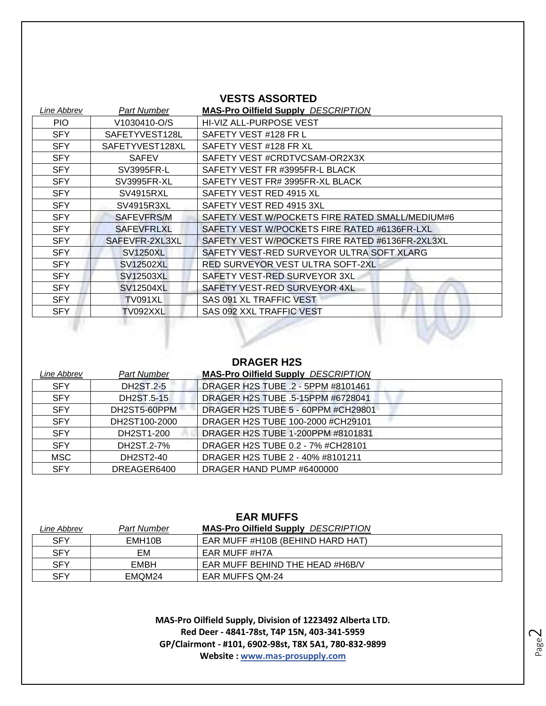#### **VESTS ASSORTED**

| Line Abbrev | Part Number       | <b>MAS-Pro Oilfield Supply DESCRIPTION</b>      |
|-------------|-------------------|-------------------------------------------------|
| PIO.        | V1030410-O/S      | HI-VIZ ALL-PURPOSE VEST                         |
| <b>SFY</b>  | SAFETYVEST128L    | SAFETY VEST #128 FR L                           |
| <b>SFY</b>  | SAFETYVEST128XL   | SAFETY VEST #128 FR XL                          |
| <b>SFY</b>  | <b>SAFEV</b>      | SAFETY VEST #CRDTVCSAM-OR2X3X                   |
| <b>SFY</b>  | SV3995FR-L        | SAFETY VEST FR #3995FR-L BLACK                  |
| <b>SFY</b>  | SV3995FR-XL       | SAFETY VEST FR# 3995FR-XL BLACK                 |
| <b>SFY</b>  | SV4915RXL         | SAFETY VEST RED 4915 XL                         |
| <b>SFY</b>  | SV4915R3XL        | SAFETY VEST RED 4915 3XL                        |
| <b>SFY</b>  | SAFEVFRS/M        | SAFETY VEST W/POCKETS FIRE RATED SMALL/MEDIUM#6 |
| <b>SFY</b>  | <b>SAFEVFRLXL</b> | SAFETY VEST W/POCKETS FIRE RATED #6136FR-LXL    |
| <b>SFY</b>  | SAFEVFR-2XL3XL    | SAFETY VEST W/POCKETS FIRE RATED #6136FR-2XL3XL |
| <b>SFY</b>  | <b>SV1250XL</b>   | SAFETY VEST-RED SURVEYOR ULTRA SOFT XLARG       |
| <b>SFY</b>  | SV12502XL         | RED SURVEYOR VEST ULTRA SOFT-2XL                |
| <b>SFY</b>  | SV12503XL         | SAFETY VEST-RED SURVEYOR 3XL                    |
| <b>SFY</b>  | SV12504XL         | SAFETY VEST-RED SURVEYOR 4XL                    |
| <b>SFY</b>  | <b>TV091XL</b>    | SAS 091 XL TRAFFIC VEST                         |
| SFY         | TV092XXL          | SAS 092 XXL TRAFFIC VEST                        |

#### **DRAGER H2S**

n w

| Line Abbrev | <b>Part Number</b> | <b>MAS-Pro Oilfield Supply DESCRIPTION</b> |
|-------------|--------------------|--------------------------------------------|
| <b>SFY</b>  | <b>DH2ST.2-5</b>   | DRAGER H2S TUBE .2 - 5PPM #8101461         |
| <b>SFY</b>  | DH2ST.5-15         | DRAGER H2S TUBE .5-15PPM #6728041          |
| <b>SFY</b>  | DH2ST5-60PPM       | DRAGER H2S TUBE 5 - 60PPM #CH29801         |
| <b>SFY</b>  | DH2ST100-2000      | DRAGER H2S TUBE 100-2000 #CH29101          |
| <b>SFY</b>  | DH2ST1-200         | DRAGER H2S TUBE 1-200PPM #8101831          |
| <b>SFY</b>  | DH2ST.2-7%         | DRAGER H2S TUBE 0.2 - 7% #CH28101          |
| <b>MSC</b>  | DH2ST2-40          | DRAGER H2S TUBE 2 - 40% #8101211           |
| <b>SFY</b>  | DREAGER6400        | DRAGER HAND PUMP #6400000                  |

| <b>EAR MUFFS</b> |                     |                                            |
|------------------|---------------------|--------------------------------------------|
| Line Abbrev      | Part Number         | <b>MAS-Pro Oilfield Supply DESCRIPTION</b> |
| <b>SFY</b>       | EMH <sub>10</sub> B | EAR MUFF #H10B (BEHIND HARD HAT)           |
| SFY              | EМ                  | EAR MUFF #H7A                              |
| <b>SFY</b>       | EMBH                | EAR MUFF BEHIND THE HEAD #H6B/V            |
| SFY              | EMOM24              | <b>EAR MUFFS QM-24</b>                     |

Page  $\mathrel{\sim}$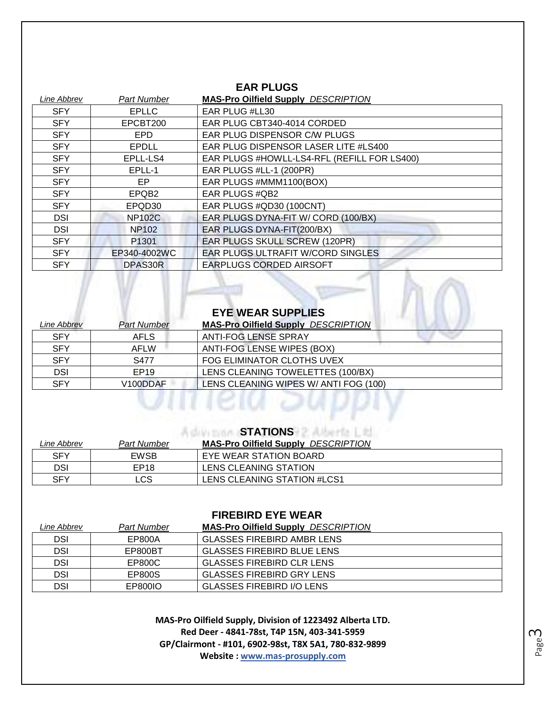#### **EAR PLUGS**

| Line Abbrev | <b>Part Number</b> | <b>MAS-Pro Oilfield Supply DESCRIPTION</b>  |
|-------------|--------------------|---------------------------------------------|
| <b>SFY</b>  | <b>EPLLC</b>       | EAR PLUG #LL30                              |
| <b>SFY</b>  | EPCBT200           | EAR PLUG CBT340-4014 CORDED                 |
| <b>SFY</b>  | EPD                | EAR PLUG DISPENSOR C/W PLUGS                |
| <b>SFY</b>  | <b>EPDLL</b>       | EAR PLUG DISPENSOR LASER LITE #LS400        |
| <b>SFY</b>  | EPLL-LS4           | EAR PLUGS #HOWLL-LS4-RFL (REFILL FOR LS400) |
| <b>SFY</b>  | EPLL-1             | EAR PLUGS #LL-1 (200PR)                     |
| <b>SFY</b>  | EP.                | EAR PLUGS #MMM1100(BOX)                     |
| <b>SFY</b>  | EPQB <sub>2</sub>  | EAR PLUGS #QB2                              |
| <b>SFY</b>  | EPQD30             | EAR PLUGS #QD30 (100CNT)                    |
| <b>DSI</b>  | <b>NP102C</b>      | EAR PLUGS DYNA-FIT W/CORD (100/BX)          |
| <b>DSI</b>  | <b>NP102</b>       | EAR PLUGS DYNA-FIT(200/BX)                  |
| <b>SFY</b>  | P <sub>1301</sub>  | EAR PLUGS SKULL SCREW (120PR)               |
| <b>SFY</b>  | EP340-4002WC       | EAR PLUGS ULTRAFIT W/CORD SINGLES           |
| <b>SFY</b>  | DPAS30R            | EARPLUGS CORDED AIRSOFT                     |

|                           |                    | <b>EYE WEAR SUPPLIES</b>                   |
|---------------------------|--------------------|--------------------------------------------|
| <i><b>Line Abbrev</b></i> | <b>Part Number</b> | <b>MAS-Pro Oilfield Supply DESCRIPTION</b> |
| <b>SFY</b>                | <b>AFLS</b>        | <b>ANTI-FOG LENSE SPRAY</b>                |
| <b>SFY</b>                | <b>AFLW</b>        | ANTI-FOG LENSE WIPES (BOX)                 |
| <b>SFY</b>                | S477               | FOG ELIMINATOR CLOTHS UVEX                 |
| <b>DSI</b>                | EP19               | LENS CLEANING TOWELETTES (100/BX)          |
| <b>SFY</b>                | V100DDAF           | LENS CLEANING WIPES W/ ANTI FOG (100)      |

#### **STATIONS**

| Line Abbrev | <b>Part Number</b> | <b>MAS-Pro Oilfield Supply DESCRIPTION</b> |
|-------------|--------------------|--------------------------------------------|
| <b>SFY</b>  | <b>EWSB</b>        | EYE WEAR STATION BOARD                     |
| DSI         | EP <sub>18</sub>   | LENS CLEANING STATION                      |
| SFY         | ∟CS.               | LENS CLEANING STATION #LCS1                |

#### **FIREBIRD EYE WEAR**

| Line Abbrev | <b>Part Number</b> | <b>MAS-Pro Oilfield Supply DESCRIPTION</b> |
|-------------|--------------------|--------------------------------------------|
| DSI         | EP800A             | GLASSES FIREBIRD AMBR LENS                 |
| <b>DSI</b>  | EP800BT            | GLASSES FIREBIRD BLUE LENS                 |
| <b>DSI</b>  | EP800C             | GLASSES FIREBIRD CLR LENS                  |
| <b>DSI</b>  | EP800S             | <b>GLASSES FIREBIRD GRY LENS</b>           |
| <b>DSI</b>  | EP800IO            | <b>GLASSES FIREBIRD I/O LENS</b>           |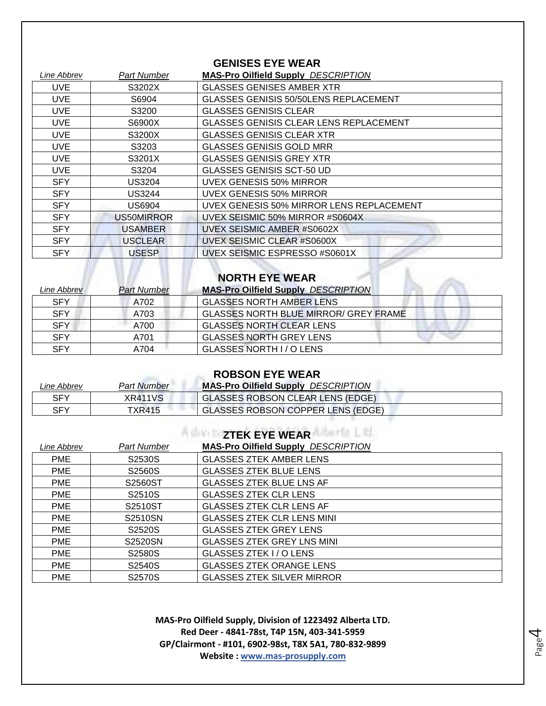#### **GENISES EYE WEAR**

| Line Abbrev | Part Number    | <b>MAS-Pro Oilfield Supply DESCRIPTION</b>    |
|-------------|----------------|-----------------------------------------------|
| UVE         | S3202X         | <b>GLASSES GENISES AMBER XTR</b>              |
| <b>UVE</b>  | S6904          | GLASSES GENISIS 50/50LENS REPLACEMENT         |
| <b>UVE</b>  | S3200          | <b>GLASSES GENISIS CLEAR</b>                  |
| <b>UVE</b>  | S6900X         | <b>GLASSES GENISIS CLEAR LENS REPLACEMENT</b> |
| <b>UVE</b>  | S3200X         | <b>GLASSES GENISIS CLEAR XTR</b>              |
| <b>UVE</b>  | S3203          | <b>GLASSES GENISIS GOLD MRR</b>               |
| UVE         | S3201X         | <b>GLASSES GENISIS GREY XTR</b>               |
| <b>UVE</b>  | S3204          | <b>GLASSES GENISIS SCT-50 UD</b>              |
| <b>SFY</b>  | US3204         | <b>UVEX GENESIS 50% MIRROR</b>                |
| <b>SFY</b>  | US3244         | UVEX GENESIS 50% MIRROR                       |
| <b>SFY</b>  | US6904         | UVEX GENESIS 50% MIRROR LENS REPLACEMENT      |
| <b>SFY</b>  | US50MIRROR     | UVEX SEISMIC 50% MIRROR #S0604X               |
| <b>SFY</b>  | <b>USAMBER</b> | UVEX SEISMIC AMBER #S0602X                    |
| <b>SFY</b>  | <b>USCLEAR</b> | UVEX SEISMIC CLEAR #S0600X                    |
| <b>SFY</b>  | <b>USESP</b>   | UVEX SEISMIC ESPRESSO #S0601X                 |
|             |                | <b>NORTH EYE WEAR</b>                         |

| Line Abbrev | <b>Part Number</b> | <b>MAS-Pro Oilfield Supply DESCRIPTION</b>   |
|-------------|--------------------|----------------------------------------------|
| <b>SFY</b>  | A702               | <b>GLASSES NORTH AMBER LENS</b>              |
| <b>SFY</b>  | A703               | <b>GLASSES NORTH BLUE MIRROR/ GREY FRAME</b> |
| <b>SFY</b>  | A700               | <b>GLASSES NORTH CLEAR LENS</b>              |
| SFY         | A701               | <b>GLASSES NORTH GREY LENS</b>               |
| <b>SFY</b>  | A704               | GLASSES NORTH I / O LENS                     |

| <b>ROBSON EYE WEAR</b> |                    |                                            |
|------------------------|--------------------|--------------------------------------------|
| Line Abbrev            | <b>Part Number</b> | <b>MAS-Pro Oilfield Supply DESCRIPTION</b> |
| <b>SFY</b>             | XR411VS            | GLASSES ROBSON CLEAR LENS (EDGE)           |
| <b>SFY</b>             | TXR415             | <b>GLASSES ROBSON COPPER LENS (EDGE)</b>   |

| <b>ZTEK EYE WEAR</b> |                    |                                            |
|----------------------|--------------------|--------------------------------------------|
| Line Abbrev          | <b>Part Number</b> | <b>MAS-Pro Oilfield Supply DESCRIPTION</b> |
| <b>PME</b>           | S2530S             | <b>GLASSES ZTEK AMBER LENS</b>             |
| <b>PME</b>           | S2560S             | <b>GLASSES ZTEK BLUE LENS</b>              |
| <b>PME</b>           | S2560ST            | <b>GLASSES ZTEK BLUE LNS AF</b>            |
| <b>PME</b>           | S2510S             | <b>GLASSES ZTEK CLR LENS</b>               |
| <b>PME</b>           | S2510ST            | <b>GLASSES ZTEK CLR LENS AF</b>            |
| <b>PME</b>           | S2510SN            | <b>GLASSES ZTEK CLR LENS MINI</b>          |
| <b>PME</b>           | S2520S             | <b>GLASSES ZTEK GREY LENS</b>              |
| <b>PME</b>           | S2520SN            | <b>GLASSES ZTEK GREY LNS MINI</b>          |
| <b>PME</b>           | S2580S             | GLASSES ZTEK I / O LENS                    |
| <b>PME</b>           | S2540S             | <b>GLASSES ZTEK ORANGE LENS</b>            |
| <b>PME</b>           | S2570S             | <b>GLASSES ZTEK SILVER MIRROR</b>          |

**MAS-Pro Oilfield Supply, Division of 1223492 Alberta LTD. Red Deer - 4841-78st, T4P 15N, 403-341-5959 GP/Clairmont - #101, 6902-98st, T8X 5A1, 780-832-9899 Website : www.mas-prosupply.com**

Page 4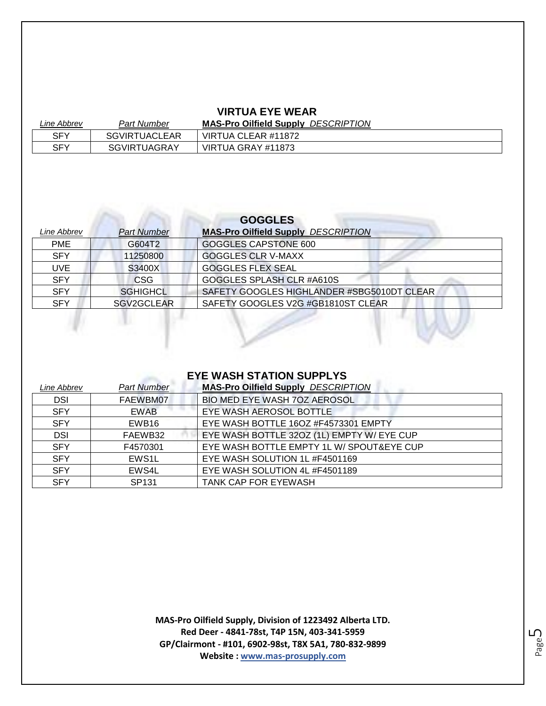#### **VIRTUA EYE WEAR**

| Line Abbrev | <b>Part Number</b>   | <b>MAS-Pro Oilfield Supply DESCRIPTION</b> |
|-------------|----------------------|--------------------------------------------|
| SFY         | <b>SGVIRTUACLEAR</b> | VIRTUA CLEAR #11872                        |
| SFY         | <b>SGVIRTUAGRAY</b>  | VIRTUA GRAY #11873                         |

| <b>GOGGLES</b> |                    |                                            |
|----------------|--------------------|--------------------------------------------|
| Line Abbrev    | <b>Part Number</b> | <b>MAS-Pro Oilfield Supply DESCRIPTION</b> |
| <b>PME</b>     | G604T2             | <b>GOGGLES CAPSTONE 600</b>                |
| <b>SFY</b>     | 11250800           | <b>GOGGLES CLR V-MAXX</b>                  |
| <b>UVE</b>     | S3400X             | <b>GOGGLES FLEX SEAL</b>                   |
| <b>SFY</b>     | <b>CSG</b>         | GOGGLES SPLASH CLR #A610S                  |
| <b>SFY</b>     | <b>SGHIGHCL</b>    | SAFETY GOOGLES HIGHLANDER #SBG5010DT CLEAR |
| <b>SFY</b>     | SGV2GCLEAR         | SAFETY GOOGLES V2G #GB1810ST CLEAR         |
|                |                    |                                            |
|                |                    |                                            |

#### **EYE WASH STATION SUPPLYS**

P

| Line Abbrev | <b>Part Number</b> | <b>MAS-Pro Oilfield Supply DESCRIPTION</b> |
|-------------|--------------------|--------------------------------------------|
| <b>DSI</b>  | FAEWBM07           | BIO MED EYE WASH 70Z AEROSOL               |
| <b>SFY</b>  | EWAB               | EYE WASH AEROSOL BOTTLE                    |
| <b>SFY</b>  | EWB16              | EYE WASH BOTTLE 16OZ #F4573301 EMPTY       |
| <b>DSI</b>  | FAEWB32            | EYE WASH BOTTLE 32OZ (1L) EMPTY W/ EYE CUP |
| <b>SFY</b>  | F4570301           | EYE WASH BOTTLE EMPTY 1L W/ SPOUT&EYE CUP  |
| <b>SFY</b>  | EWS1L              | EYE WASH SOLUTION 1L #F4501169             |
| <b>SFY</b>  | EWS4L              | EYE WASH SOLUTION 4L #F4501189             |
| <b>SFY</b>  | SP <sub>131</sub>  | <b>TANK CAP FOR EYEWASH</b>                |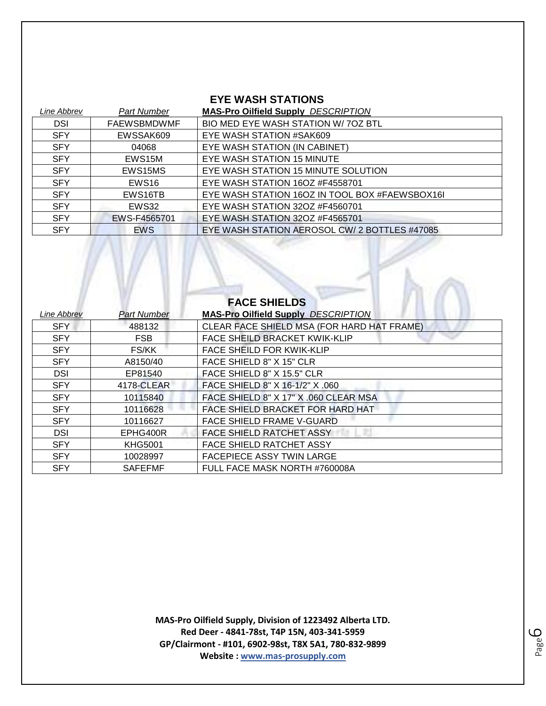#### **EYE WASH STATIONS**

| Line Abbrev | <b>Part Number</b> | <b>MAS-Pro Oilfield Supply DESCRIPTION</b>     |
|-------------|--------------------|------------------------------------------------|
| <b>DSI</b>  | <b>FAEWSBMDWMF</b> | BIO MED EYE WASH STATION W/70Z BTL             |
| <b>SFY</b>  | EWSSAK609          | EYE WASH STATION #SAK609                       |
| <b>SFY</b>  | 04068              | EYE WASH STATION (IN CABINET)                  |
| <b>SFY</b>  | EWS15M             | EYE WASH STATION 15 MINUTE                     |
| <b>SFY</b>  | EWS15MS            | EYE WASH STATION 15 MINUTE SOLUTION            |
| <b>SFY</b>  | EWS <sub>16</sub>  | EYE WASH STATION 16OZ #F4558701                |
| <b>SFY</b>  | EWS16TB            | EYE WASH STATION 160Z IN TOOL BOX #FAEWSBOX16I |
| <b>SFY</b>  | EWS32              | EYE WASH STATION 32OZ #F4560701                |
| <b>SFY</b>  | EWS-F4565701       | EYE WASH STATION 32OZ #F4565701                |
| <b>SFY</b>  | <b>EWS</b>         | EYE WASH STATION AEROSOL CW/ 2 BOTTLES #47085  |

 $\mathcal{L}$ 

| <b>FACE SHIELDS</b> |                    |                                            |
|---------------------|--------------------|--------------------------------------------|
| Line Abbrev         | <b>Part Number</b> | <b>MAS-Pro Oilfield Supply DESCRIPTION</b> |
| <b>SFY</b>          | 488132             | CLEAR FACE SHIELD MSA (FOR HARD HAT FRAME) |
| <b>SFY</b>          | <b>FSB</b>         | FACE SHEILD BRACKET KWIK-KLIP              |
| <b>SFY</b>          | FS/KK              | <b>FACE SHEILD FOR KWIK-KLIP</b>           |
| <b>SFY</b>          | A8150/40           | FACE SHIELD 8" X 15" CLR                   |
| <b>DSI</b>          | EP81540            | FACE SHIELD 8" X 15.5" CLR                 |
| <b>SFY</b>          | 4178-CLEAR         | FACE SHIELD 8" X 16-1/2" X .060            |
| <b>SFY</b>          | 10115840           | FACE SHIELD 8" X 17" X .060 CLEAR MSA      |
| <b>SFY</b>          | 10116628           | FACE SHIELD BRACKET FOR HARD HAT           |
| <b>SFY</b>          | 10116627           | FACE SHIELD FRAME V-GUARD                  |
| <b>DSI</b>          | EPHG400R           | <b>FACE SHIELD RATCHET ASSY</b>            |
| <b>SFY</b>          | <b>KHG5001</b>     | <b>FACE SHIELD RATCHET ASSY</b>            |
| <b>SFY</b>          | 10028997           | <b>FACEPIECE ASSY TWIN LARGE</b>           |
| <b>SFY</b>          | <b>SAFEFMF</b>     | FULL FACE MASK NORTH #760008A              |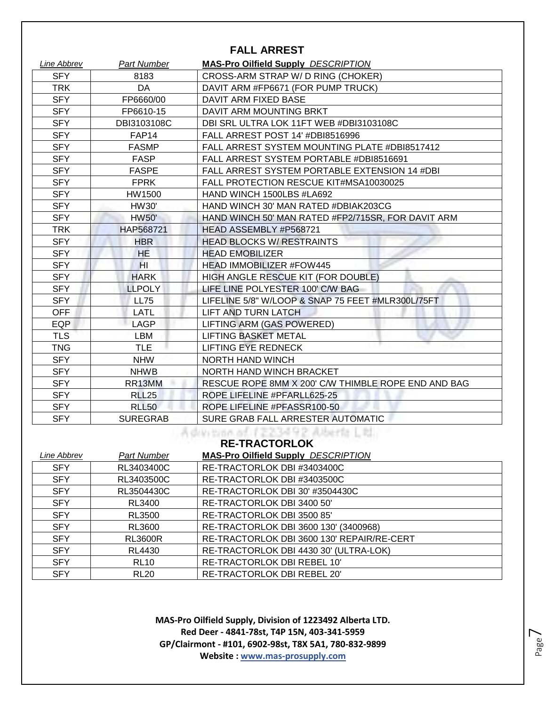#### **FALL ARREST**

| Line Abbrev | <b>Part Number</b>  | <b>MAS-Pro Oilfield Supply DESCRIPTION</b>          |
|-------------|---------------------|-----------------------------------------------------|
| <b>SFY</b>  | 8183                | CROSS-ARM STRAP W/D RING (CHOKER)                   |
| <b>TRK</b>  | DA                  | DAVIT ARM #FP6671 (FOR PUMP TRUCK)                  |
| <b>SFY</b>  | FP6660/00           | DAVIT ARM FIXED BASE                                |
| <b>SFY</b>  | FP6610-15           | DAVIT ARM MOUNTING BRKT                             |
| <b>SFY</b>  | DBI3103108C         | DBI SRL ULTRA LOK 11FT WEB #DBI3103108C             |
| <b>SFY</b>  | FAP <sub>14</sub>   | FALL ARREST POST 14' #DBI8516996                    |
| <b>SFY</b>  | <b>FASMP</b>        | FALL ARREST SYSTEM MOUNTING PLATE #DBI8517412       |
| <b>SFY</b>  | <b>FASP</b>         | FALL ARREST SYSTEM PORTABLE #DBI8516691             |
| <b>SFY</b>  | <b>FASPE</b>        | FALL ARREST SYSTEM PORTABLE EXTENSION 14 #DBI       |
| <b>SFY</b>  | <b>FPRK</b>         | FALL PROTECTION RESCUE KIT#MSA10030025              |
| <b>SFY</b>  | HW1500              | HAND WINCH 1500LBS #LA692                           |
| <b>SFY</b>  | <b>HW30'</b>        | HAND WINCH 30' MAN RATED #DBIAK203CG                |
| <b>SFY</b>  | <b>HW50'</b>        | HAND WINCH 50' MAN RATED #FP2/715SR, FOR DAVIT ARM  |
| <b>TRK</b>  | HAP568721           | HEAD ASSEMBLY #P568721                              |
| <b>SFY</b>  | <b>HBR</b>          | <b>HEAD BLOCKS W/ RESTRAINTS</b>                    |
| <b>SFY</b>  | HE                  | <b>HEAD EMOBILIZER</b>                              |
| <b>SFY</b>  | HL                  | <b>HEAD IMMOBILIZER #FOW445</b>                     |
| <b>SFY</b>  | <b>HARK</b>         | HIGH ANGLE RESCUE KIT (FOR DOUBLE)                  |
| <b>SFY</b>  | <b>LLPOLY</b>       | LIFE LINE POLYESTER 100' C/W BAG                    |
| <b>SFY</b>  | <b>LL75</b>         | LIFELINE 5/8" W/LOOP & SNAP 75 FEET #MLR300L/75FT   |
| <b>OFF</b>  | LATL                | LIFT AND TURN LATCH                                 |
| <b>EQP</b>  | <b>LAGP</b>         | LIFTING ARM (GAS POWERED)                           |
| <b>TLS</b>  | <b>LBM</b>          | LIFTING BASKET METAL                                |
| <b>TNG</b>  | <b>TLE</b>          | LIFTING EYE REDNECK                                 |
| <b>SFY</b>  | <b>NHW</b>          | <b>NORTH HAND WINCH</b>                             |
| <b>SFY</b>  | <b>NHWB</b>         | NORTH HAND WINCH BRACKET                            |
| <b>SFY</b>  | RR <sub>13</sub> MM | RESCUE ROPE 8MM X 200' C/W THIMBLE ROPE END AND BAG |
| <b>SFY</b>  | <b>RLL25</b>        | ROPE LIFELINE #PFARLL625-25                         |
| <b>SFY</b>  | <b>RLL50</b>        | ROPE LIFELINE #PFASSR100-50                         |
| <b>SFY</b>  | <b>SUREGRAB</b>     | SURE GRAB FALL ARRESTER AUTOMATIC                   |

## **RE-TRACTORLOK**

| Line Abbrev | Part Number    | <b>MAS-Pro Oilfield Supply DESCRIPTION</b> |
|-------------|----------------|--------------------------------------------|
| <b>SFY</b>  | RL3403400C     | RE-TRACTORLOK DBI #3403400C                |
| <b>SFY</b>  | RL3403500C     | RE-TRACTORLOK DBI #3403500C                |
| <b>SFY</b>  | RL3504430C     | RE-TRACTORLOK DBI 30' #3504430C            |
| <b>SFY</b>  | RL3400         | RE-TRACTORLOK DBI 3400 50'                 |
| <b>SFY</b>  | <b>RL3500</b>  | RE-TRACTORLOK DBI 3500 85'                 |
| <b>SFY</b>  | RL3600         | RE-TRACTORLOK DBI 3600 130' (3400968)      |
| <b>SFY</b>  | <b>RL3600R</b> | RE-TRACTORLOK DBI 3600 130' REPAIR/RE-CERT |
| <b>SFY</b>  | RL4430         | RE-TRACTORLOK DBI 4430 30' (ULTRA-LOK)     |
| <b>SFY</b>  | <b>RL10</b>    | RE-TRACTORLOK DBI REBEL 10'                |
| <b>SFY</b>  | <b>RL20</b>    | RE-TRACTORLOK DBI REBEL 20'                |

**MAS-Pro Oilfield Supply, Division of 1223492 Alberta LTD. Red Deer - 4841-78st, T4P 15N, 403-341-5959 GP/Clairmont - #101, 6902-98st, T8X 5A1, 780-832-9899 Website : www.mas-prosupply.com**

Page  $\overline{\phantom{1}}$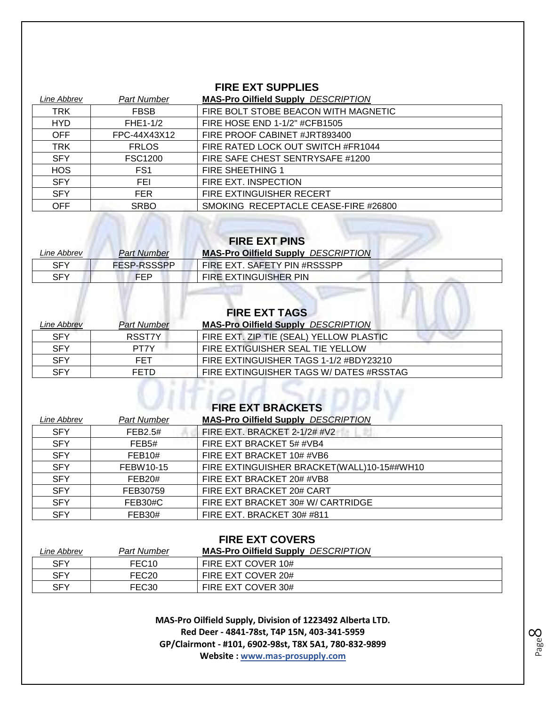#### **FIRE EXT SUPPLIES**

| Line Abbrev | Part Number     | <b>MAS-Pro Oilfield Supply DESCRIPTION</b> |
|-------------|-----------------|--------------------------------------------|
| <b>TRK</b>  | <b>FBSB</b>     | FIRE BOLT STOBE BEACON WITH MAGNETIC       |
| <b>HYD</b>  | FHE1-1/2        | FIRE HOSE END 1-1/2" #CFB1505              |
| <b>OFF</b>  | FPC-44X43X12    | FIRE PROOF CABINET #JRT893400              |
| <b>TRK</b>  | <b>FRLOS</b>    | FIRE RATED LOCK OUT SWITCH #FR1044         |
| <b>SFY</b>  | <b>FSC1200</b>  | FIRE SAFE CHEST SENTRYSAFE #1200           |
| <b>HOS</b>  | FS <sub>1</sub> | <b>FIRE SHEETHING 1</b>                    |
| <b>SFY</b>  | FEI             | FIRE EXT. INSPECTION                       |
| <b>SFY</b>  | <b>FER</b>      | FIRE EXTINGUISHER RECERT                   |
| <b>OFF</b>  | <b>SRBO</b>     | SMOKING RECEPTACLE CEASE-FIRE #26800       |

## **FIRE EXT PINS**

m

| Line Abbrev | <b>Part Number</b> | <b>MAS-Pro Oilfield Supply DESCRIPTION</b> |
|-------------|--------------------|--------------------------------------------|
| SFY         | <b>FESP-RSSSPP</b> | FIRE EXT. SAFETY PIN #RSSSPP               |
| SFY         | <b>FEP</b>         | FIRE EXTINGUISHER PIN                      |

| <i><b>Line Abbrev</b></i> | <b>Part Number</b> | <b>FIRE EXT TAGS</b><br><b>MAS-Pro Oilfield Supply DESCRIPTION</b> |
|---------------------------|--------------------|--------------------------------------------------------------------|
| <b>SFY</b>                | RSST7Y             | FIRE EXT. ZIP TIE (SEAL) YELLOW PLASTIC                            |
| <b>SFY</b>                | PT7Y               | FIRE EXTIGUISHER SEAL TIE YELLOW                                   |
| <b>SFY</b>                | <b>FET</b>         | FIRE EXTINGUISHER TAGS 1-1/2 #BDY23210                             |
| <b>SFY</b>                | <b>FETD</b>        | FIRE EXTINGUISHER TAGS W/ DATES #RSSTAG                            |

| I INE EAT DIVAUNETJ |                    |                                            |
|---------------------|--------------------|--------------------------------------------|
| Line Abbrev         | <b>Part Number</b> | <b>MAS-Pro Oilfield Supply DESCRIPTION</b> |
| <b>SFY</b>          | FEB2.5#            | FIRE EXT. BRACKET 2-1/2# #V2               |
| <b>SFY</b>          | FEB <sub>5#</sub>  | FIRE EXT BRACKET 5# #VB4                   |
| <b>SFY</b>          | FEB10#             | FIRE EXT BRACKET 10# #VB6                  |
| <b>SFY</b>          | FEBW10-15          | FIRE EXTINGUISHER BRACKET(WALL)10-15##WH10 |
| <b>SFY</b>          | FEB20#             | FIRE EXT BRACKET 20# #VB8                  |
| <b>SFY</b>          | FEB30759           | FIRE EXT BRACKET 20# CART                  |
| <b>SFY</b>          | FEB30#C            | FIRE EXT BRACKET 30# W/ CARTRIDGE          |
| <b>SFY</b>          | <b>FEB30#</b>      | FIRE EXT. BRACKET 30# #811                 |
|                     |                    |                                            |

#### **FIRE EXT COVERS**

| Line Abbrev | Part Number       | <b>MAS-Pro Oilfield Supply DESCRIPTION</b> |
|-------------|-------------------|--------------------------------------------|
| <b>SFY</b>  | FEC <sub>10</sub> | FIRE EXT COVER 10#                         |
| <b>SFY</b>  | FEC <sub>20</sub> | FIRE EXT COVER 20#                         |
| <b>SFY</b>  | FEC <sub>30</sub> | FIRE EXT COVER 30#                         |

**MAS-Pro Oilfield Supply, Division of 1223492 Alberta LTD. Red Deer - 4841-78st, T4P 15N, 403-341-5959 GP/Clairmont - #101, 6902-98st, T8X 5A1, 780-832-9899 Website : www.mas-prosupply.com**

Page  $\infty$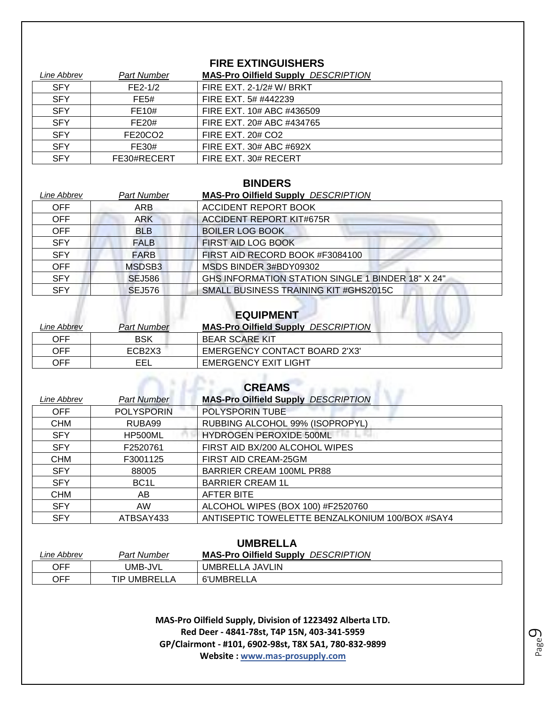#### **FIRE EXTINGUISHERS**

| Line Abbrev | <b>Part Number</b> | <b>MAS-Pro Oilfield Supply DESCRIPTION</b> |
|-------------|--------------------|--------------------------------------------|
| <b>SFY</b>  | $FE2-1/2$          | <b>FIRE EXT. 2-1/2# W/ BRKT</b>            |
| <b>SFY</b>  | FE5#               | FIRE EXT. 5# #442239                       |
| <b>SFY</b>  | FE10#              | FIRE EXT. 10# ABC #436509                  |
| <b>SFY</b>  | FE20#              | FIRE EXT. 20# ABC #434765                  |
| <b>SFY</b>  | FE20CO2            | <b>FIRE EXT. 20# CO2</b>                   |
| <b>SFY</b>  | FE30#              | FIRE EXT. 30# ABC #692X                    |
| <b>SFY</b>  | FE30#RECERT        | FIRE EXT. 30# RECERT                       |

#### **BINDERS**

| Line Abbrev | Part Number   | <b>MAS-Pro Oilfield Supply DESCRIPTION</b>        |
|-------------|---------------|---------------------------------------------------|
| <b>OFF</b>  | ARB           | <b>ACCIDENT REPORT BOOK</b>                       |
| <b>OFF</b>  | <b>ARK</b>    | <b>ACCIDENT REPORT KIT#675R</b>                   |
| <b>OFF</b>  | <b>BLB</b>    | <b>BOILER LOG BOOK</b>                            |
| <b>SFY</b>  | <b>FALB</b>   | FIRST AID LOG BOOK                                |
| <b>SFY</b>  | <b>FARB</b>   | FIRST AID RECORD BOOK #F3084100                   |
| <b>OFF</b>  | MSDSB3        | MSDS BINDER 3#BDY09302                            |
| <b>SFY</b>  | <b>SEJ586</b> | GHS INFORMATION STATION SINGLE 1 BINDER 18" X 24" |
| <b>SFY</b>  | <b>SEJ576</b> | SMALL BUSINESS TRAINING KIT #GHS2015C             |

#### **EQUIPMENT**

| Line Abbrev | Part Number                     | <b>MAS-Pro Oilfield Supply DESCRIPTION</b> |
|-------------|---------------------------------|--------------------------------------------|
| OFF         | <b>BSK</b>                      | BEAR SCARE KIT                             |
| OFF         | ECB <sub>2</sub> X <sub>3</sub> | EMERGENCY CONTACT BOARD 2'X3'              |
| OFF         | EEL                             | EMERGENCY EXIT LIGHT                       |

| <b>CREAMS</b> |                    |                                                 |
|---------------|--------------------|-------------------------------------------------|
| Line Abbrev   | <b>Part Number</b> | <b>MAS-Pro Oilfield Supply DESCRIPTION</b>      |
| <b>OFF</b>    | <b>POLYSPORIN</b>  | POLYSPORIN TUBE                                 |
| <b>CHM</b>    | RUBA99             | RUBBING ALCOHOL 99% (ISOPROPYL)                 |
| <b>SFY</b>    | HP500ML            | <b>HYDROGEN PEROXIDE 500ML</b>                  |
| <b>SFY</b>    | F2520761           | FIRST AID BX/200 ALCOHOL WIPES                  |
| <b>CHM</b>    | F3001125           | FIRST AID CREAM-25GM                            |
| <b>SFY</b>    | 88005              | BARRIER CREAM 100ML PR88                        |
| <b>SFY</b>    | BC <sub>1</sub> L  | <b>BARRIER CREAM 1L</b>                         |
| <b>CHM</b>    | AB.                | <b>AFTER BITE</b>                               |
| <b>SFY</b>    | <b>AW</b>          | ALCOHOL WIPES (BOX 100) #F2520760               |
| <b>SFY</b>    | ATBSAY433          | ANTISEPTIC TOWELETTE BENZALKONIUM 100/BOX #SAY4 |

#### **UMBRELLA**

| Line Abbrev | <b>Part Number</b> | <b>MAS-Pro Oilfield Supply</b><br><b>DESCRIPTION</b> |
|-------------|--------------------|------------------------------------------------------|
| OFF         | UMB-JVL            | UMBRELLA JAVLIN                                      |
| OFF         | TIP UMBRELLA       | 6'UMBRELLA                                           |

**MAS-Pro Oilfield Supply, Division of 1223492 Alberta LTD. Red Deer - 4841-78st, T4P 15N, 403-341-5959 GP/Clairmont - #101, 6902-98st, T8X 5A1, 780-832-9899 Website : www.mas-prosupply.com**

Page  $\mathcal O$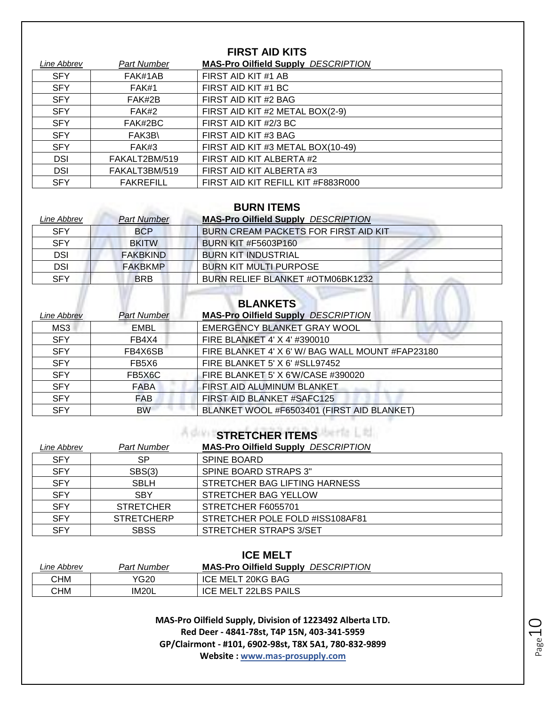#### **FIRST AID KITS**

| Line Abbrev | Part Number      | <b>MAS-Pro Oilfield Supply DESCRIPTION</b> |
|-------------|------------------|--------------------------------------------|
| <b>SFY</b>  | FAK#1AB          | FIRST AID KIT #1 AB                        |
| <b>SFY</b>  | FAK#1            | FIRST AID KIT #1 BC                        |
| <b>SFY</b>  | FAK#2B           | FIRST AID KIT #2 BAG                       |
| <b>SFY</b>  | FAK#2            | FIRST AID KIT #2 METAL BOX(2-9)            |
| <b>SFY</b>  | FAK#2BC          | FIRST AID KIT #2/3 BC                      |
| <b>SFY</b>  | FAK3B\           | FIRST AID KIT #3 BAG                       |
| <b>SFY</b>  | FAK#3            | FIRST AID KIT #3 METAL BOX(10-49)          |
| <b>DSI</b>  | FAKALT2BM/519    | FIRST AID KIT ALBERTA #2                   |
| <b>DSI</b>  | FAKALT3BM/519    | FIRST AID KIT ALBERTA #3                   |
| <b>SFY</b>  | <b>FAKREFILL</b> | FIRST AID KIT REFILL KIT #F883R000         |

#### **BURN ITEMS**

| Line Abbrev | <b>Part Number</b> | <b>MAS-Pro Oilfield Supply DESCRIPTION</b> |
|-------------|--------------------|--------------------------------------------|
| <b>SFY</b>  | <b>BCP</b>         | BURN CREAM PACKETS FOR FIRST AID KIT       |
| <b>SFY</b>  | <b>BKITW</b>       | <b>BURN KIT #F5603P160</b>                 |
| <b>DSI</b>  | <b>FAKBKIND</b>    | <b>BURN KIT INDUSTRIAL</b>                 |
| <b>DSI</b>  | <b>FAKBKMP</b>     | <b>BURN KIT MULTI PURPOSE</b>              |
| <b>SFY</b>  | <b>BRB</b>         | BURN RELIEF BLANKET #OTM06BK1232           |
|             |                    |                                            |
|             |                    | <b>DI ANIZETC</b>                          |

## **BLANKETS**

|                           |                    | <b>BLANKETS</b>                                  |
|---------------------------|--------------------|--------------------------------------------------|
| <i><b>Line Abbrev</b></i> | <b>Part Number</b> | <b>MAS-Pro Oilfield Supply DESCRIPTION</b>       |
| MS3                       | <b>EMBL</b>        | EMERGENCY BLANKET GRAY WOOL                      |
| <b>SFY</b>                | FB4X4              | FIRE BLANKET 4' X 4' #390010                     |
| <b>SFY</b>                | FB4X6SB            | FIRE BLANKET 4' X 6' W/ BAG WALL MOUNT #FAP23180 |
| <b>SFY</b>                | FB5X6              | FIRE BLANKET 5' X 6' #SLL97452                   |
| <b>SFY</b>                | FB5X6C             | FIRE BLANKET 5' X 6'W/CASE #390020               |
| <b>SFY</b>                | <b>FABA</b>        | FIRST AID ALUMINUM BLANKET                       |
| <b>SFY</b>                | FAB                | FIRST AID BLANKET #SAFC125                       |
| <b>SFY</b>                | BW                 | BLANKET WOOL #F6503401 (FIRST AID BLANKET)       |

## **STRETCHER ITEMS**

| Line Abbrev | <b>Part Number</b> | <b>MAS-Pro Oilfield Supply DESCRIPTION</b> |
|-------------|--------------------|--------------------------------------------|
| <b>SFY</b>  | SP.                | <b>SPINE BOARD</b>                         |
| <b>SFY</b>  | SBS(3)             | SPINE BOARD STRAPS 3"                      |
| <b>SFY</b>  | <b>SBLH</b>        | STRETCHER BAG LIFTING HARNESS              |
| <b>SFY</b>  | <b>SBY</b>         | STRETCHER BAG YELLOW                       |
| <b>SFY</b>  | <b>STRETCHER</b>   | STRETCHER F6055701                         |
| <b>SFY</b>  | <b>STRETCHERP</b>  | STRETCHER POLE FOLD #ISS108AF81            |
| <b>SFY</b>  | <b>SBSS</b>        | STRETCHER STRAPS 3/SET                     |

| <b>ICE MELT</b> |             |                                            |
|-----------------|-------------|--------------------------------------------|
| Line Abbrev     | Part Number | <b>MAS-Pro Oilfield Supply DESCRIPTION</b> |
| СНМ             | YG20        | ICE MELT 20KG BAG                          |
| СНМ             | IM20L       | ICE MELT 22LBS PAILS                       |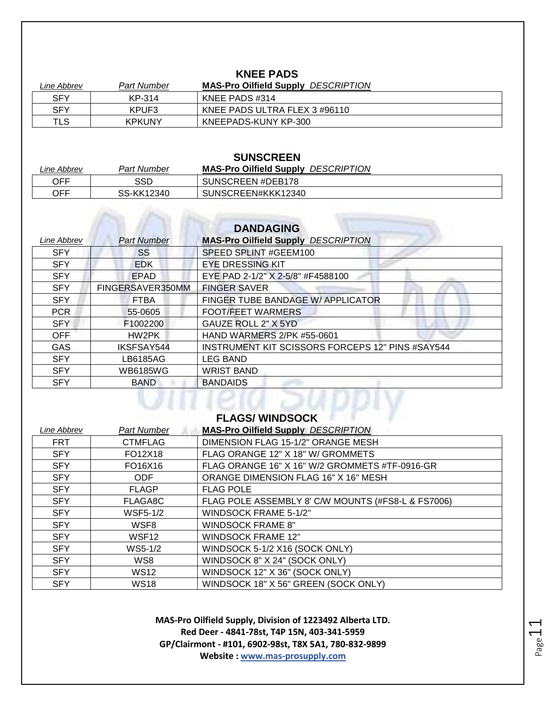#### **KNEE PADS**

| Line Abbrev | Part Number   | <b>MAS-Pro Oilfield Supply DESCRIPTION</b> |
|-------------|---------------|--------------------------------------------|
| <b>SFY</b>  | KP-314        | KNEE PADS #314                             |
| <b>SFY</b>  | KPUF3         | KNEE PADS ULTRA FLEX 3 #96110              |
| TLS         | <b>KPKUNY</b> | KNEEPADS-KUNY KP-300                       |

| <b>SUNSCREEN</b> |             |                                            |
|------------------|-------------|--------------------------------------------|
| Line Abbrev      | Part Number | <b>MAS-Pro Oilfield Supply DESCRIPTION</b> |
| OFF              | SSD         | SUNSCREEN #DEB178                          |
| OFF              | SS-KK12340  | SUNSCREEN#KKK12340                         |

|             |                    | <b>DANDAGING</b>                                        |
|-------------|--------------------|---------------------------------------------------------|
| Line Abbrev | <b>Part Number</b> | <b>MAS-Pro Oilfield Supply DESCRIPTION</b>              |
| <b>SFY</b>  | SS                 | SPEED SPLINT #GEEM100                                   |
| <b>SFY</b>  | <b>EDK</b>         | <b>EYE DRESSING KIT</b>                                 |
| <b>SFY</b>  | <b>EPAD</b>        | EYE PAD 2-1/2" X 2-5/8" #F4588100                       |
| <b>SFY</b>  | FINGERSAVER350MM   | <b>FINGER SAVER</b>                                     |
| <b>SFY</b>  | <b>FTBA</b>        | FINGER TUBE BANDAGE W/ APPLICATOR                       |
| <b>PCR</b>  | 55-0605            | <b>FOOT/FEET WARMERS</b>                                |
| <b>SFY</b>  | F1002200           | GAUZE ROLL 2" X 5YD                                     |
| <b>OFF</b>  | HW2PK              | <b>HAND WARMERS 2/PK #55-0601</b>                       |
| <b>GAS</b>  | IKSFSAY544         | <b>INSTRUMENT KIT SCISSORS FORCEPS 12" PINS #SAY544</b> |
| <b>SFY</b>  | LB6185AG           | <b>LEG BAND</b>                                         |
| <b>SFY</b>  | <b>WB6185WG</b>    | <b>WRIST BAND</b>                                       |
| <b>SFY</b>  | <b>BAND</b>        | <b>BANDAIDS</b>                                         |

# **FLAGS/ WINDSOCK**

| Line Abbrev | <b>Part Number</b> | <b>MAS-Pro Oilfield Supply DESCRIPTION</b>         |
|-------------|--------------------|----------------------------------------------------|
| <b>FRT</b>  | <b>CTMFLAG</b>     | DIMENSION FLAG 15-1/2" ORANGE MESH                 |
| <b>SFY</b>  | FO12X18            | FLAG ORANGE 12" X 18" W/ GROMMETS                  |
| <b>SFY</b>  | FO16X16            | FLAG ORANGE 16" X 16" W/2 GROMMETS #TF-0916-GR     |
| <b>SFY</b>  | <b>ODF</b>         | ORANGE DIMENSION FLAG 16" X 16" MESH               |
| <b>SFY</b>  | <b>FLAGP</b>       | <b>FLAG POLE</b>                                   |
| <b>SFY</b>  | FLAGA8C            | FLAG POLE ASSEMBLY 8' C/W MOUNTS (#FS8-L & FS7006) |
| <b>SFY</b>  | <b>WSF5-1/2</b>    | <b>WINDSOCK FRAME 5-1/2"</b>                       |
| <b>SFY</b>  | WSF8               | <b>WINDSOCK FRAME 8"</b>                           |
| <b>SFY</b>  | WSF <sub>12</sub>  | <b>WINDSOCK FRAME 12"</b>                          |
| <b>SFY</b>  | WS5-1/2            | WINDSOCK 5-1/2 X16 (SOCK ONLY)                     |
| <b>SFY</b>  | WS8                | WINDSOCK 8" X 24" (SOCK ONLY)                      |
| <b>SFY</b>  | <b>WS12</b>        | WINDSOCK 12" X 36" (SOCK ONLY)                     |
| <b>SFY</b>  | <b>WS18</b>        | WINDSOCK 18" X 56" GREEN (SOCK ONLY)               |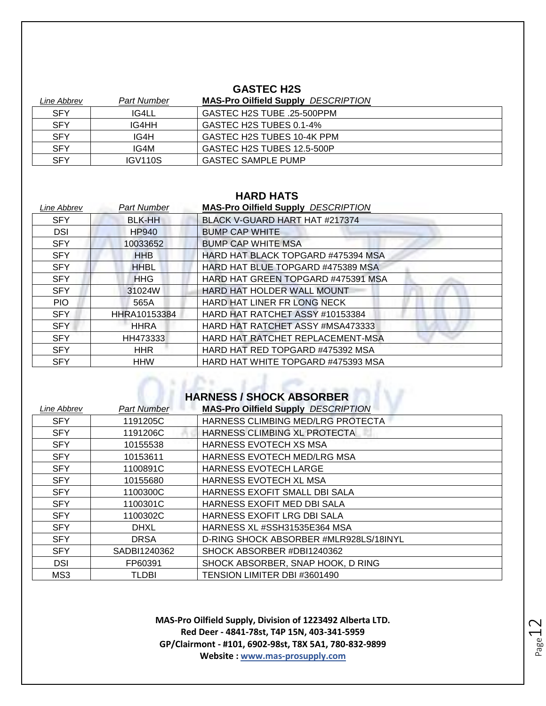#### **GASTEC H2S**

| Line Abbrev | <b>Part Number</b>  | <b>MAS-Pro Oilfield Supply DESCRIPTION</b> |
|-------------|---------------------|--------------------------------------------|
| <b>SFY</b>  | IG4LL               | GASTEC H2S TUBE .25-500PPM                 |
| <b>SFY</b>  | IG4HH               | GASTEC H2S TUBES 0.1-4%                    |
| <b>SFY</b>  | IG4H                | GASTEC H2S TUBES 10-4K PPM                 |
| <b>SFY</b>  | IG4M                | GASTEC H2S TUBES 12.5-500P                 |
| <b>SFY</b>  | IGV <sub>110S</sub> | <b>GASTEC SAMPLE PUMP</b>                  |

#### **HARD HATS**

| Line Abbrev | <b>Part Number</b> | <b>MAS-Pro Oilfield Supply DESCRIPTION</b> |
|-------------|--------------------|--------------------------------------------|
| <b>SFY</b>  | <b>BLK-HH</b>      | BLACK V-GUARD HART HAT #217374             |
| <b>DSI</b>  | <b>HP940</b>       | <b>BUMP CAP WHITE</b>                      |
| <b>SFY</b>  | 10033652           | <b>BUMP CAP WHITE MSA</b>                  |
| <b>SFY</b>  | <b>HHB</b>         | HARD HAT BLACK TOPGARD #475394 MSA         |
| <b>SFY</b>  | <b>HHBL</b>        | HARD HAT BLUE TOPGARD #475389 MSA          |
| <b>SFY</b>  | <b>HHG</b>         | HARD HAT GREEN TOPGARD #475391 MSA         |
| <b>SFY</b>  | 31024W             | <b>HARD HAT HOLDER WALL MOUNT</b>          |
| <b>PIO</b>  | 565A               | HARD HAT LINER FR LONG NECK                |
| <b>SFY</b>  | HHRA10153384       | HARD HAT RATCHET ASSY #10153384            |
| <b>SFY</b>  | <b>HHRA</b>        | HARD HAT RATCHET ASSY #MSA473333           |
| <b>SFY</b>  | HH473333           | HARD HAT RATCHET REPLACEMENT-MSA           |
| <b>SFY</b>  | <b>HHR</b>         | HARD HAT RED TOPGARD #475392 MSA           |
| <b>SFY</b>  | <b>HHW</b>         | HARD HAT WHITE TOPGARD #475393 MSA         |

# **HARNESS / SHOCK ABSORBER**

| Line Abbrev | <b>Part Number</b> | <b>MAS-Pro Oilfield Supply DESCRIPTION</b> |
|-------------|--------------------|--------------------------------------------|
| <b>SFY</b>  | 1191205C           | HARNESS CLIMBING MED/LRG PROTECTA          |
| <b>SFY</b>  | 1191206C           | HARNESS CLIMBING XL PROTECTA               |
| <b>SFY</b>  | 10155538           | HARNESS EVOTECH XS MSA                     |
| <b>SFY</b>  | 10153611           | <b>HARNESS EVOTECH MED/LRG MSA</b>         |
| <b>SFY</b>  | 1100891C           | <b>HARNESS EVOTECH LARGE</b>               |
| <b>SFY</b>  | 10155680           | HARNESS EVOTECH XL MSA                     |
| <b>SFY</b>  | 1100300C           | HARNESS EXOFIT SMALL DBI SALA              |
| <b>SFY</b>  | 1100301C           | HARNESS EXOFIT MED DBI SALA                |
| <b>SFY</b>  | 1100302C           | HARNESS EXOFIT LRG DBI SALA                |
| <b>SFY</b>  | <b>DHXL</b>        | HARNESS XL #SSH31535E364 MSA               |
| <b>SFY</b>  | <b>DRSA</b>        | D-RING SHOCK ABSORBER #MLR928LS/18INYL     |
| <b>SFY</b>  | SADBI1240362       | SHOCK ABSORBER #DBI1240362                 |
| <b>DSI</b>  | FP60391            | SHOCK ABSORBER, SNAP HOOK, D RING          |
| MS3         | <b>TLDBI</b>       | TENSION LIMITER DBI #3601490               |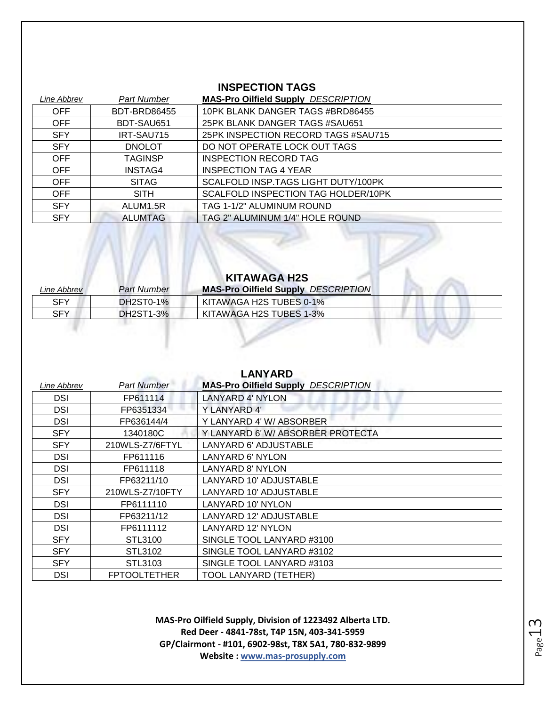#### **INSPECTION TAGS**

| Line Abbrev | Part Number         | <b>MAS-Pro Oilfield Supply DESCRIPTION</b> |
|-------------|---------------------|--------------------------------------------|
| <b>OFF</b>  | <b>BDT-BRD86455</b> | 10PK BLANK DANGER TAGS #BRD86455           |
| <b>OFF</b>  | BDT-SAU651          | 25PK BLANK DANGER TAGS #SAU651             |
| <b>SFY</b>  | IRT-SAU715          | 25PK INSPECTION RECORD TAGS #SAU715        |
| <b>SFY</b>  | <b>DNOLOT</b>       | DO NOT OPERATE LOCK OUT TAGS               |
| <b>OFF</b>  | <b>TAGINSP</b>      | INSPECTION RECORD TAG                      |
| <b>OFF</b>  | <b>INSTAG4</b>      | <b>INSPECTION TAG 4 YEAR</b>               |
| <b>OFF</b>  | <b>SITAG</b>        | SCALFOLD INSP. TAGS LIGHT DUTY/100PK       |
| <b>OFF</b>  | <b>SITH</b>         | SCALFOLD INSPECTION TAG HOLDER/10PK        |
| <b>SFY</b>  | ALUM1.5R            | TAG 1-1/2" ALUMINUM ROUND                  |
| <b>SFY</b>  | <b>ALUMTAG</b>      | TAG 2" ALUMINUM 1/4" HOLE ROUND            |

#### **KITAWAGA H2S**

W

| Line Abbrev | <b>Part Number</b> | <b>MAS-Pro Oilfield Supply DESCRIPTION</b> |
|-------------|--------------------|--------------------------------------------|
| <b>SFY</b>  | DH2ST0-1%          | KITAWAGA H2S TUBES 0-1%                    |
| SFY         | DH2ST1-3%          | KITAWAGA H2S TUBES 1-3%                    |
|             |                    |                                            |

| <b>LANYARD</b> |                     |                                            |
|----------------|---------------------|--------------------------------------------|
| Line Abbrev    | <b>Part Number</b>  | <b>MAS-Pro Oilfield Supply DESCRIPTION</b> |
| DSI            | FP611114            | <b>LANYARD 4' NYLON</b>                    |
| DSI            | FP6351334           | Y LANYARD 4'                               |
| DSI            | FP636144/4          | Y LANYARD 4' W/ ABSORBER                   |
| <b>SFY</b>     | 1340180C            | Y LANYARD 6'W/ ABSORBER PROTECTA           |
| <b>SFY</b>     | 210WLS-Z7/6FTYL     | LANYARD 6' ADJUSTABLE                      |
| <b>DSI</b>     | FP611116            | LANYARD 6' NYLON                           |
| <b>DSI</b>     | FP611118            | LANYARD 8' NYLON                           |
| <b>DSI</b>     | FP63211/10          | LANYARD 10' ADJUSTABLE                     |
| <b>SFY</b>     | 210WLS-Z7/10FTY     | LANYARD 10' ADJUSTABLE                     |
| <b>DSI</b>     | FP6111110           | LANYARD 10' NYLON                          |
| <b>DSI</b>     | FP63211/12          | LANYARD 12' ADJUSTABLE                     |
| <b>DSI</b>     | FP6111112           | LANYARD 12' NYLON                          |
| <b>SFY</b>     | STL3100             | SINGLE TOOL LANYARD #3100                  |
| <b>SFY</b>     | STL3102             | SINGLE TOOL LANYARD #3102                  |
| <b>SFY</b>     | STL3103             | SINGLE TOOL LANYARD #3103                  |
| DSI            | <b>FPTOOLTETHER</b> | TOOL LANYARD (TETHER)                      |

Page 13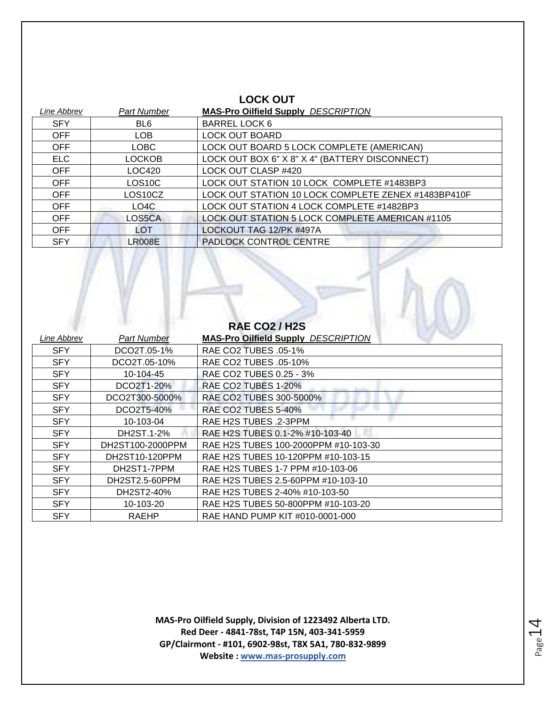| <b>LOCK OUT</b> |                     |                                                     |
|-----------------|---------------------|-----------------------------------------------------|
| Line Abbrev     | <b>Part Number</b>  | <b>MAS-Pro Oilfield Supply DESCRIPTION</b>          |
| <b>SFY</b>      | BL6                 | BARREL LOCK 6                                       |
| <b>OFF</b>      | <b>LOB</b>          | <b>LOCK OUT BOARD</b>                               |
| <b>OFF</b>      | LOBC                | LOCK OUT BOARD 5 LOCK COMPLETE (AMERICAN)           |
| <b>ELC</b>      | <b>LOCKOB</b>       | LOCK OUT BOX 6" X 8" X 4" (BATTERY DISCONNECT)      |
| <b>OFF</b>      | LOC420              | LOCK OUT CLASP #420                                 |
| <b>OFF</b>      | LOS <sub>10</sub> C | LOCK OUT STATION 10 LOCK COMPLETE #1483BP3          |
| <b>OFF</b>      | LOS10CZ             | LOCK OUT STATION 10 LOCK COMPLETE ZENEX #1483BP410F |
| <b>OFF</b>      | LO4C                | LOCK OUT STATION 4 LOCK COMPLETE #1482BP3           |
| <b>OFF</b>      | LOS5CA              | LOCK OUT STATION 5 LOCK COMPLETE AMERICAN #1105     |
| <b>OFF</b>      | LOT                 | LOCKOUT TAG 12/PK #497A                             |
| <b>SFY</b>      | <b>LR008E</b>       | PADLOCK CONTROL CENTRE                              |

| <b>RAE CO2/H2S</b> |                  |                                            |
|--------------------|------------------|--------------------------------------------|
| Line Abbrev        | Part Number      | <b>MAS-Pro Oilfield Supply DESCRIPTION</b> |
| <b>SFY</b>         | DCO2T.05-1%      | RAE CO2 TUBES .05-1%                       |
| <b>SFY</b>         | DCO2T.05-10%     | RAE CO2 TUBES .05-10%                      |
| <b>SFY</b>         | 10-104-45        | RAE CO2 TUBES 0.25 - 3%                    |
| <b>SFY</b>         | DCO2T1-20%       | <b>RAE CO2 TUBES 1-20%</b>                 |
| <b>SFY</b>         | DCO2T300-5000%   | RAE CO2 TUBES 300-5000%                    |
| <b>SFY</b>         | DCO2T5-40%       | RAE CO2 TUBES 5-40%                        |
| <b>SFY</b>         | 10-103-04        | RAE H2S TUBES .2-3PPM                      |
| <b>SFY</b>         | DH2ST.1-2%       | RAE H2S TUBES 0.1-2% #10-103-40            |
| <b>SFY</b>         | DH2ST100-2000PPM | RAE H2S TUBES 100-2000PPM #10-103-30       |
| <b>SFY</b>         | DH2ST10-120PPM   | RAE H2S TUBES 10-120PPM #10-103-15         |
| <b>SFY</b>         | DH2ST1-7PPM      | RAE H2S TUBES 1-7 PPM #10-103-06           |
| <b>SFY</b>         | DH2ST2.5-60PPM   | RAE H2S TUBES 2.5-60PPM #10-103-10         |
| <b>SFY</b>         | DH2ST2-40%       | RAE H2S TUBES 2-40% #10-103-50             |
| <b>SFY</b>         | 10-103-20        | RAE H2S TUBES 50-800PPM #10-103-20         |
| <b>SFY</b>         | RAEHP            | RAE HAND PUMP KIT #010-0001-000            |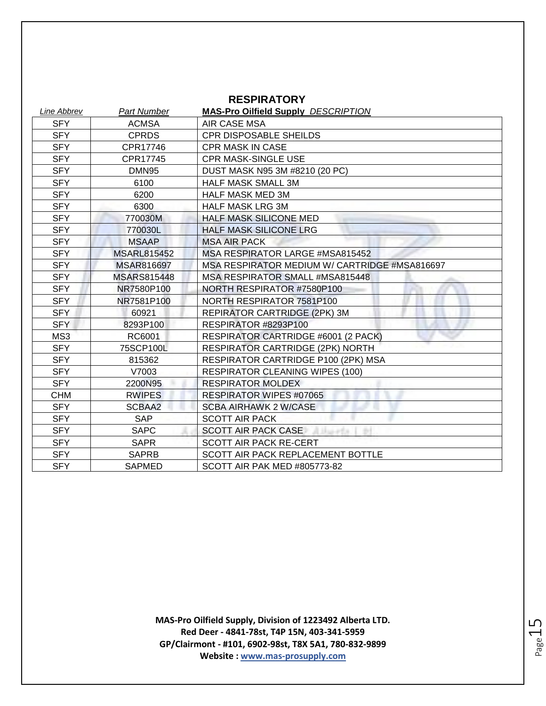| <b>RESPIRATORY</b> |                    |                                               |
|--------------------|--------------------|-----------------------------------------------|
| Line Abbrev        | <b>Part Number</b> | <b>MAS-Pro Oilfield Supply DESCRIPTION</b>    |
| <b>SFY</b>         | <b>ACMSA</b>       | AIR CASE MSA                                  |
| <b>SFY</b>         | <b>CPRDS</b>       | <b>CPR DISPOSABLE SHEILDS</b>                 |
| <b>SFY</b>         | CPR17746           | <b>CPR MASK IN CASE</b>                       |
| <b>SFY</b>         | CPR17745           | <b>CPR MASK-SINGLE USE</b>                    |
| <b>SFY</b>         | DMN <sub>95</sub>  | DUST MASK N95 3M #8210 (20 PC)                |
| <b>SFY</b>         | 6100               | <b>HALF MASK SMALL 3M</b>                     |
| <b>SFY</b>         | 6200               | <b>HALF MASK MED 3M</b>                       |
| <b>SFY</b>         | 6300               | <b>HALF MASK LRG 3M</b>                       |
| <b>SFY</b>         | 770030M            | <b>HALF MASK SILICONE MED</b>                 |
| <b>SFY</b>         | 770030L            | <b>HALF MASK SILICONE LRG</b>                 |
| <b>SFY</b>         | <b>MSAAP</b>       | <b>MSA AIR PACK</b>                           |
| <b>SFY</b>         | <b>MSARL815452</b> | MSA RESPIRATOR LARGE #MSA815452               |
| <b>SFY</b>         | <b>MSAR816697</b>  | MSA RESPIRATOR MEDIUM W/ CARTRIDGE #MSA816697 |
| <b>SFY</b>         | <b>MSARS815448</b> | MSA RESPIRATOR SMALL #MSA815448               |
| <b>SFY</b>         | NR7580P100         | NORTH RESPIRATOR #7580P100                    |
| <b>SFY</b>         | NR7581P100         | NORTH RESPIRATOR 7581P100                     |
| SFY                | 60921              | REPIRATOR CARTRIDGE (2PK) 3M                  |
| <b>SFY</b>         | 8293P100           | RESPIRATOR #8293P100                          |
| MS3                | RC6001             | RESPIRATOR CARTRIDGE #6001 (2 PACK)           |
| <b>SFY</b>         | 75SCP100L          | <b>RESPIRATOR CARTRIDGE (2PK) NORTH</b>       |
| <b>SFY</b>         | 815362             | RESPIRATOR CARTRIDGE P100 (2PK) MSA           |
| <b>SFY</b>         | V7003              | <b>RESPIRATOR CLEANING WIPES (100)</b>        |
| <b>SFY</b>         | 2200N95            | <b>RESPIRATOR MOLDEX</b>                      |
| <b>CHM</b>         | <b>RWIPES</b>      | <b>RESPIRATOR WIPES #07065</b>                |
| <b>SFY</b>         | SCBAA2             | <b>SCBA AIRHAWK 2 W/CASE</b>                  |
| <b>SFY</b>         | <b>SAP</b>         | <b>SCOTT AIR PACK</b>                         |
| <b>SFY</b>         | <b>SAPC</b>        | <b>SCOTT AIR PACK CASE</b>                    |
| <b>SFY</b>         | <b>SAPR</b>        | <b>SCOTT AIR PACK RE-CERT</b>                 |
| <b>SFY</b>         | <b>SAPRB</b>       | SCOTT AIR PACK REPLACEMENT BOTTLE             |
| <b>SFY</b>         | <b>SAPMED</b>      | <b>SCOTT AIR PAK MED #805773-82</b>           |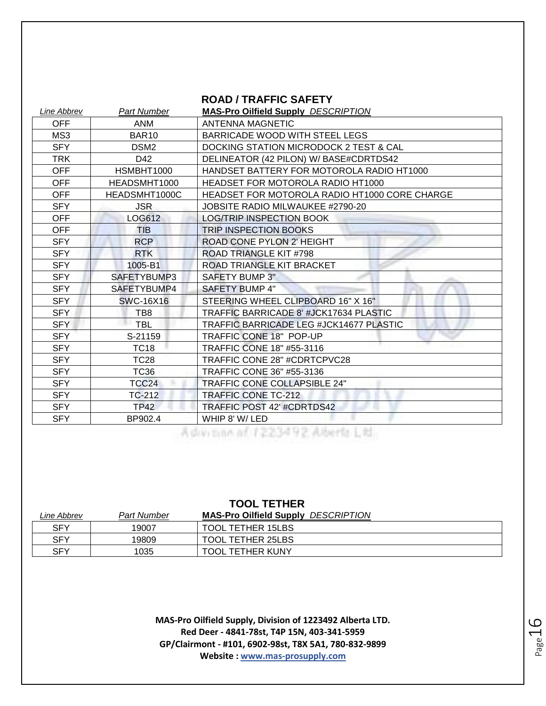#### **ROAD / TRAFFIC SAFETY**

| Line Abbrev | Part Number       | <b>MAS-Pro Oilfield Supply DESCRIPTION</b>     |
|-------------|-------------------|------------------------------------------------|
| <b>OFF</b>  | <b>ANM</b>        | <b>ANTENNA MAGNETIC</b>                        |
| MS3         | <b>BAR10</b>      | BARRICADE WOOD WITH STEEL LEGS                 |
| <b>SFY</b>  | DSM <sub>2</sub>  | DOCKING STATION MICRODOCK 2 TEST & CAL         |
| TRK         | D42               | DELINEATOR (42 PILON) W/ BASE#CDRTDS42         |
| <b>OFF</b>  | HSMBHT1000        | HANDSET BATTERY FOR MOTOROLA RADIO HT1000      |
| <b>OFF</b>  | HEADSMHT1000      | HEADSET FOR MOTOROLA RADIO HT1000              |
| <b>OFF</b>  | HEADSMHT1000C     | HEADSET FOR MOTOROLA RADIO HT1000 CORE CHARGE  |
| <b>SFY</b>  | <b>JSR</b>        | JOBSITE RADIO MILWAUKEE #2790-20               |
| <b>OFF</b>  | LOG612            | <b>LOG/TRIP INSPECTION BOOK</b>                |
| <b>OFF</b>  | <b>TIB</b>        | <b>TRIP INSPECTION BOOKS</b>                   |
| <b>SFY</b>  | <b>RCP</b>        | ROAD CONE PYLON 2' HEIGHT                      |
| <b>SFY</b>  | <b>RTK</b>        | ROAD TRIANGLE KIT #798                         |
| <b>SFY</b>  | 1005-B1           | ROAD TRIANGLE KIT BRACKET                      |
| <b>SFY</b>  | SAFETYBUMP3       | <b>SAFETY BUMP 3"</b>                          |
| <b>SFY</b>  | SAFETYBUMP4       | SAFETY BUMP 4"                                 |
| <b>SFY</b>  | <b>SWC-16X16</b>  | STEERING WHEEL CLIPBOARD 16" X 16"             |
| SFY         | TB8               | TRAFFIC BARRICADE 8' #JCK17634 PLASTIC         |
| <b>SFY</b>  | <b>TBL</b>        | <b>TRAFFIC BARRICADE LEG #JCK14677 PLASTIC</b> |
| <b>SFY</b>  | S-21159           | TRAFFIC CONE 18" POP-UP                        |
| <b>SFY</b>  | <b>TC18</b>       | <b>TRAFFIC CONE 18" #55-3116</b>               |
| <b>SFY</b>  | <b>TC28</b>       | TRAFFIC CONE 28" #CDRTCPVC28                   |
| <b>SFY</b>  | <b>TC36</b>       | TRAFFIC CONE 36" #55-3136                      |
| <b>SFY</b>  | TCC <sub>24</sub> | <b>TRAFFIC CONE COLLAPSIBLE 24"</b>            |
| <b>SFY</b>  | TC-212            | <b>TRAFFIC CONE TC-212</b>                     |
| <b>SFY</b>  | TP42              | TRAFFIC POST 42' #CDRTDS42                     |
| <b>SFY</b>  | BP902.4           | WHIP 8' W/LED                                  |

| <b>TOOL TETHER</b> |                    |                                            |
|--------------------|--------------------|--------------------------------------------|
| Line Abbrev        | <b>Part Number</b> | <b>MAS-Pro Oilfield Supply DESCRIPTION</b> |
| <b>SFY</b>         | 19007              | <b>TOOL TETHER 15LBS</b>                   |
| <b>SFY</b>         | 19809              | <b>TOOL TETHER 25LBS</b>                   |
| <b>SFY</b>         | 1035               | <b>TOOL TETHER KUNY</b>                    |

Page 16